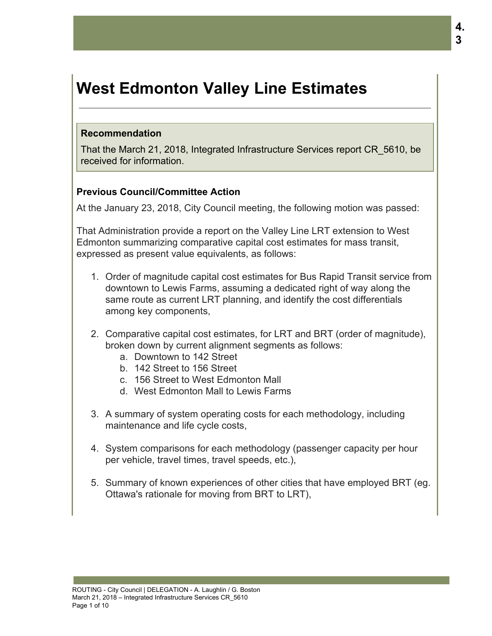# **West Edmonton Valley Line Estimates**

#### **Recommendation**

That the March 21, 2018, Integrated Infrastructure Services report CR\_5610, be received for information.

# **Previous Council/Committee Action**

At the January 23, 2018, City Council meeting, the following motion was passed:

That Administration provide a report on the Valley Line LRT extension to West Edmonton summarizing comparative capital cost estimates for mass transit, expressed as present value equivalents, as follows:

- 1. Order of magnitude capital cost estimates for Bus Rapid Transit service from downtown to Lewis Farms, assuming a dedicated right of way along the same route as current LRT planning, and identify the cost differentials among key components,
- 2. Comparative capital cost estimates, for LRT and BRT (order of magnitude), broken down by current alignment segments as follows:
	- a. Downtown to 142 Street
	- b. 142 Street to 156 Street
	- c. 156 Street to West Edmonton Mall
	- d. West Edmonton Mall to Lewis Farms
- 3. A summary of system operating costs for each methodology, including maintenance and life cycle costs,
- 4. System comparisons for each methodology (passenger capacity per hour per vehicle, travel times, travel speeds, etc.),
- 5. Summary of known experiences of other cities that have employed BRT (eg. Ottawa's rationale for moving from BRT to LRT),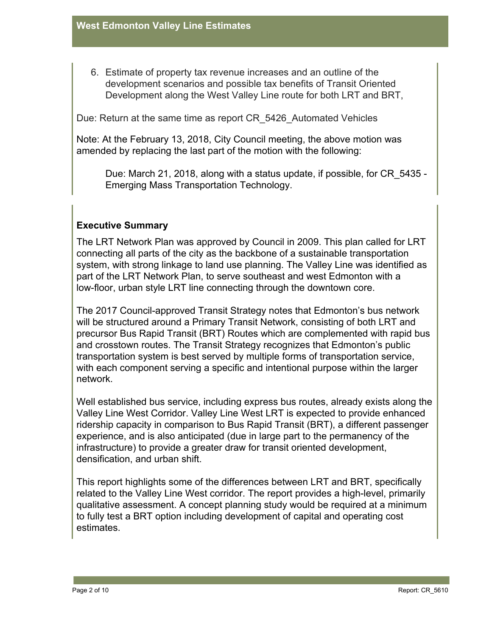6. Estimate of property tax revenue increases and an outline of the development scenarios and possible tax benefits of Transit Oriented Development along the West Valley Line route for both LRT and BRT,

Due: Return at the same time as report CR\_5426\_Automated Vehicles

Note: At the February 13, 2018, City Council meeting, the above motion was amended by replacing the last part of the motion with the following:

Due: March 21, 2018, along with a status update, if possible, for CR\_5435 - Emerging Mass Transportation Technology.

# **Executive Summary**

The LRT Network Plan was approved by Council in 2009. This plan called for LRT connecting all parts of the city as the backbone of a sustainable transportation system, with strong linkage to land use planning. The Valley Line was identified as part of the LRT Network Plan, to serve southeast and west Edmonton with a low-floor, urban style LRT line connecting through the downtown core.

The 2017 Council-approved Transit Strategy notes that Edmonton's bus network will be structured around a Primary Transit Network, consisting of both LRT and precursor Bus Rapid Transit (BRT) Routes which are complemented with rapid bus and crosstown routes. The Transit Strategy recognizes that Edmonton's public transportation system is best served by multiple forms of transportation service, with each component serving a specific and intentional purpose within the larger network.

Well established bus service, including express bus routes, already exists along the Valley Line West Corridor. Valley Line West LRT is expected to provide enhanced ridership capacity in comparison to Bus Rapid Transit (BRT), a different passenger experience, and is also anticipated (due in large part to the permanency of the infrastructure) to provide a greater draw for transit oriented development, densification, and urban shift.

This report highlights some of the differences between LRT and BRT, specifically related to the Valley Line West corridor. The report provides a high-level, primarily qualitative assessment. A concept planning study would be required at a minimum to fully test a BRT option including development of capital and operating cost estimates.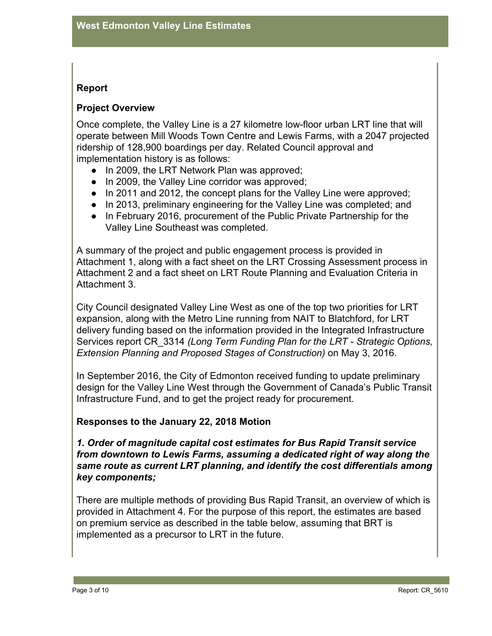# **Report**

# **Project Overview**

Once complete, the Valley Line is a 27 kilometre low-floor urban LRT line that will operate between Mill Woods Town Centre and Lewis Farms, with a 2047 projected ridership of 128,900 boardings per day. Related Council approval and implementation history is as follows:

- In 2009, the LRT Network Plan was approved;
- In 2009, the Valley Line corridor was approved;
- In 2011 and 2012, the concept plans for the Valley Line were approved;
- In 2013, preliminary engineering for the Valley Line was completed; and
- In February 2016, procurement of the Public Private Partnership for the Valley Line Southeast was completed.

A summary of the project and public engagement process is provided in Attachment 1, along with a fact sheet on the LRT Crossing Assessment process in Attachment 2 and a fact sheet on LRT Route Planning and Evaluation Criteria in Attachment 3.

City Council designated Valley Line West as one of the top two priorities for LRT expansion, along with the Metro Line running from NAIT to Blatchford, for LRT delivery funding based on the information provided in the Integrated Infrastructure Services report CR\_3314 *(Long Term Funding Plan for the LRT - Strategic Options, Extension Planning and Proposed Stages of Construction)* on May 3, 2016.

In September 2016, the City of Edmonton received funding to update preliminary design for the Valley Line West through the Government of Canada's Public Transit Infrastructure Fund, and to get the project ready for procurement.

#### **Responses to the January 22, 2018 Motion**

*1. Order of magnitude capital cost estimates for Bus Rapid Transit service from downtown to Lewis Farms, assuming a dedicated right of way along the same route as current LRT planning, and identify the cost differentials among key components;*

There are multiple methods of providing Bus Rapid Transit, an overview of which is provided in Attachment 4. For the purpose of this report, the estimates are based on premium service as described in the table below, assuming that BRT is implemented as a precursor to LRT in the future.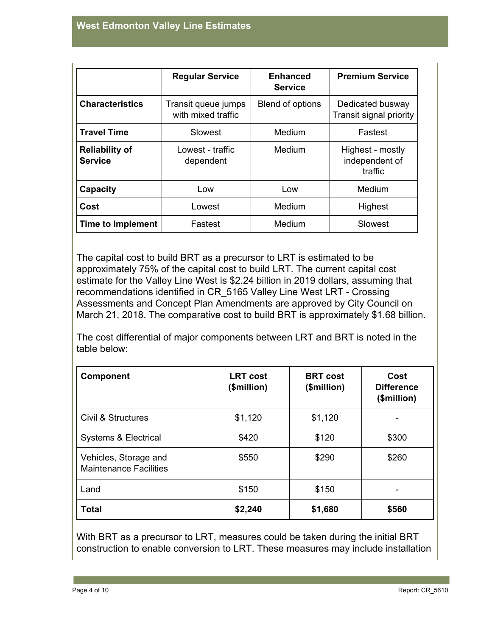|                                         | <b>Regular Service</b>                    | <b>Enhanced</b><br><b>Service</b> | <b>Premium Service</b>                        |
|-----------------------------------------|-------------------------------------------|-----------------------------------|-----------------------------------------------|
| <b>Characteristics</b>                  | Transit queue jumps<br>with mixed traffic | Blend of options                  | Dedicated busway<br>Transit signal priority   |
| <b>Travel Time</b>                      | Slowest                                   | Medium                            | Fastest                                       |
| <b>Reliability of</b><br><b>Service</b> | Lowest - traffic<br>dependent             | Medium                            | Highest - mostly<br>independent of<br>traffic |
| Capacity                                | Low                                       | Low                               | Medium                                        |
| Cost                                    | Lowest                                    | Medium                            | Highest                                       |
| Time to Implement                       | Fastest                                   | Medium                            | Slowest                                       |

The capital cost to build BRT as a precursor to LRT is estimated to be approximately 75% of the capital cost to build LRT. The current capital cost estimate for the Valley Line West is \$2.24 billion in 2019 dollars, assuming that recommendations identified in CR\_5165 Valley Line West LRT - Crossing Assessments and Concept Plan Amendments are approved by City Council on March 21, 2018. The comparative cost to build BRT is approximately \$1.68 billion.

The cost differential of major components between LRT and BRT is noted in the table below:

| <b>Component</b>                                       | <b>LRT</b> cost<br>(\$million) | <b>BRT</b> cost<br>(\$million) | Cost<br><b>Difference</b><br>(\$million) |
|--------------------------------------------------------|--------------------------------|--------------------------------|------------------------------------------|
| Civil & Structures                                     | \$1,120                        | \$1,120                        |                                          |
| Systems & Electrical                                   | \$420                          | \$120                          | \$300                                    |
| Vehicles, Storage and<br><b>Maintenance Facilities</b> | \$550                          | \$290                          | \$260                                    |
| Land                                                   | \$150                          | \$150                          |                                          |
| <b>Total</b>                                           | \$2,240                        | \$1,680                        | \$560                                    |

With BRT as a precursor to LRT, measures could be taken during the initial BRT construction to enable conversion to LRT. These measures may include installation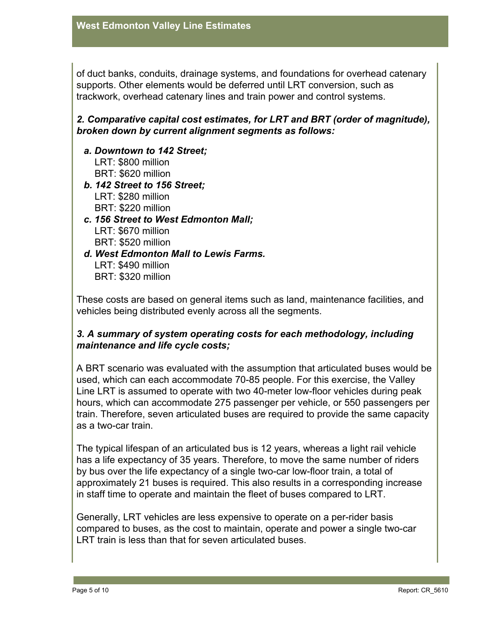of duct banks, conduits, drainage systems, and foundations for overhead catenary supports. Other elements would be deferred until LRT conversion, such as trackwork, overhead catenary lines and train power and control systems.

# *2. Comparative capital cost estimates, for LRT and BRT (order of magnitude), broken down by current alignment segments as follows:*

- *a. Downtown to 142 Street;* LRT: \$800 million BRT: \$620 million *b. 142 Street to 156 Street;*
- LRT: \$280 million BRT: \$220 million
- *c. 156 Street to West Edmonton Mall;* LRT: \$670 million BRT: \$520 million
- *d. West Edmonton Mall to Lewis Farms.* LRT: \$490 million BRT: \$320 million

These costs are based on general items such as land, maintenance facilities, and vehicles being distributed evenly across all the segments.

# *3. A summary of system operating costs for each methodology, including maintenance and life cycle costs;*

A BRT scenario was evaluated with the assumption that articulated buses would be used, which can each accommodate 70-85 people. For this exercise, the Valley Line LRT is assumed to operate with two 40-meter low-floor vehicles during peak hours, which can accommodate 275 passenger per vehicle, or 550 passengers per train. Therefore, seven articulated buses are required to provide the same capacity as a two-car train.

The typical lifespan of an articulated bus is 12 years, whereas a light rail vehicle has a life expectancy of 35 years. Therefore, to move the same number of riders by bus over the life expectancy of a single two-car low-floor train, a total of approximately 21 buses is required. This also results in a corresponding increase in staff time to operate and maintain the fleet of buses compared to LRT.

Generally, LRT vehicles are less expensive to operate on a per-rider basis compared to buses, as the cost to maintain, operate and power a single two-car LRT train is less than that for seven articulated buses.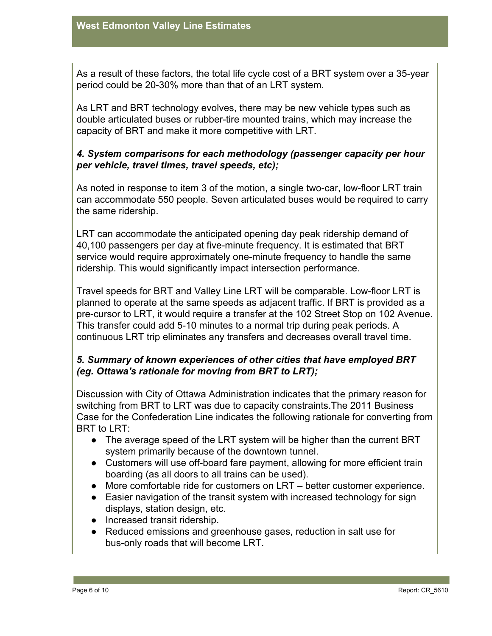As a result of these factors, the total life cycle cost of a BRT system over a 35-year period could be 20-30% more than that of an LRT system.

As LRT and BRT technology evolves, there may be new vehicle types such as double articulated buses or rubber-tire mounted trains, which may increase the capacity of BRT and make it more competitive with LRT.

## *4. System comparisons for each methodology (passenger capacity per hour per vehicle, travel times, travel speeds, etc);*

As noted in response to item 3 of the motion, a single two-car, low-floor LRT train can accommodate 550 people. Seven articulated buses would be required to carry the same ridership.

LRT can accommodate the anticipated opening day peak ridership demand of 40,100 passengers per day at five-minute frequency. It is estimated that BRT service would require approximately one-minute frequency to handle the same ridership. This would significantly impact intersection performance.

Travel speeds for BRT and Valley Line LRT will be comparable. Low-floor LRT is planned to operate at the same speeds as adjacent traffic. If BRT is provided as a pre-cursor to LRT, it would require a transfer at the 102 Street Stop on 102 Avenue. This transfer could add 5-10 minutes to a normal trip during peak periods. A continuous LRT trip eliminates any transfers and decreases overall travel time.

# *5. Summary of known experiences of other cities that have employed BRT (eg. Ottawa's rationale for moving from BRT to LRT);*

Discussion with City of Ottawa Administration indicates that the primary reason for switching from BRT to LRT was due to capacity constraints.The 2011 Business Case for the Confederation Line indicates the following rationale for converting from BRT to LRT:

- The average speed of the LRT system will be higher than the current BRT system primarily because of the downtown tunnel.
- Customers will use off-board fare payment, allowing for more efficient train boarding (as all doors to all trains can be used).
- More comfortable ride for customers on LRT better customer experience.
- Easier navigation of the transit system with increased technology for sign displays, station design, etc.
- Increased transit ridership.
- Reduced emissions and greenhouse gases, reduction in salt use for bus-only roads that will become LRT.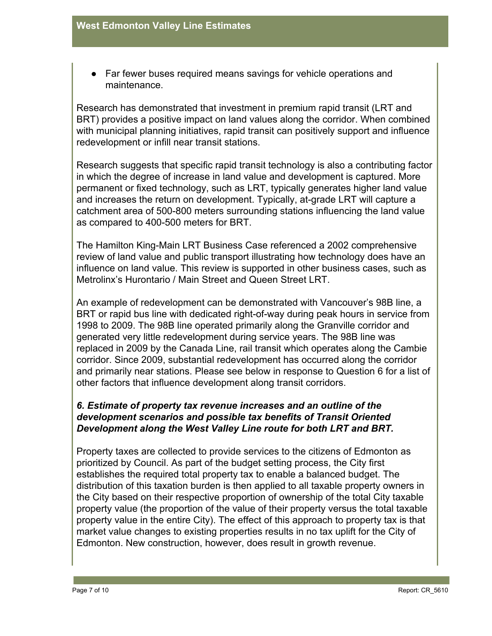• Far fewer buses required means savings for vehicle operations and maintenance.

Research has demonstrated that investment in premium rapid transit (LRT and BRT) provides a positive impact on land values along the corridor. When combined with municipal planning initiatives, rapid transit can positively support and influence redevelopment or infill near transit stations.

Research suggests that specific rapid transit technology is also a contributing factor in which the degree of increase in land value and development is captured. More permanent or fixed technology, such as LRT, typically generates higher land value and increases the return on development. Typically, at-grade LRT will capture a catchment area of 500-800 meters surrounding stations influencing the land value as compared to 400-500 meters for BRT.

The Hamilton King-Main LRT Business Case referenced a 2002 comprehensive review of land value and public transport illustrating how technology does have an influence on land value. This review is supported in other business cases, such as Metrolinx's Hurontario / Main Street and Queen Street LRT.

An example of redevelopment can be demonstrated with Vancouver's 98B line, a BRT or rapid bus line with dedicated right-of-way during peak hours in service from 1998 to 2009. The 98B line operated primarily along the Granville corridor and generated very little redevelopment during service years. The 98B line was replaced in 2009 by the Canada Line, rail transit which operates along the Cambie corridor. Since 2009, substantial redevelopment has occurred along the corridor and primarily near stations. Please see below in response to Question 6 for a list of other factors that influence development along transit corridors.

# *6. Estimate of property tax revenue increases and an outline of the development scenarios and possible tax benefits of Transit Oriented Development along the West Valley Line route for both LRT and BRT.*

Property taxes are collected to provide services to the citizens of Edmonton as prioritized by Council. As part of the budget setting process, the City first establishes the required total property tax to enable a balanced budget. The distribution of this taxation burden is then applied to all taxable property owners in the City based on their respective proportion of ownership of the total City taxable property value (the proportion of the value of their property versus the total taxable property value in the entire City). The effect of this approach to property tax is that market value changes to existing properties results in no tax uplift for the City of Edmonton. New construction, however, does result in growth revenue.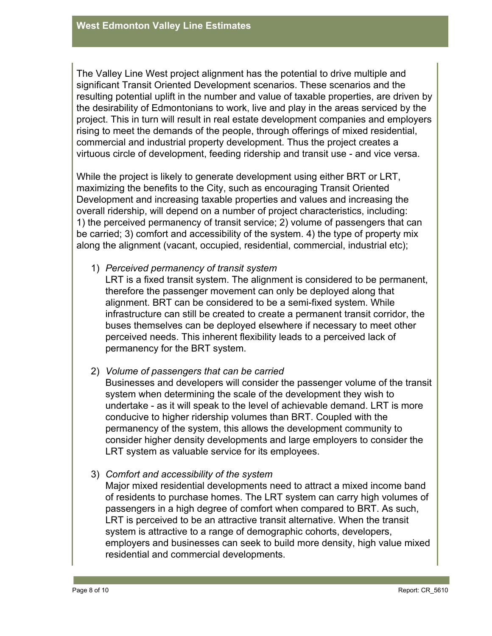The Valley Line West project alignment has the potential to drive multiple and significant Transit Oriented Development scenarios. These scenarios and the resulting potential uplift in the number and value of taxable properties, are driven by the desirability of Edmontonians to work, live and play in the areas serviced by the project. This in turn will result in real estate development companies and employers rising to meet the demands of the people, through offerings of mixed residential, commercial and industrial property development. Thus the project creates a virtuous circle of development, feeding ridership and transit use - and vice versa.

While the project is likely to generate development using either BRT or LRT, maximizing the benefits to the City, such as encouraging Transit Oriented Development and increasing taxable properties and values and increasing the overall ridership, will depend on a number of project characteristics, including: 1) the perceived permanency of transit service; 2) volume of passengers that can be carried; 3) comfort and accessibility of the system. 4) the type of property mix along the alignment (vacant, occupied, residential, commercial, industrial etc);

1) *Perceived permanency of transit system*

LRT is a fixed transit system. The alignment is considered to be permanent, therefore the passenger movement can only be deployed along that alignment. BRT can be considered to be a semi-fixed system. While infrastructure can still be created to create a permanent transit corridor, the buses themselves can be deployed elsewhere if necessary to meet other perceived needs. This inherent flexibility leads to a perceived lack of permanency for the BRT system.

#### 2) *Volume of passengers that can be carried*

Businesses and developers will consider the passenger volume of the transit system when determining the scale of the development they wish to undertake - as it will speak to the level of achievable demand. LRT is more conducive to higher ridership volumes than BRT. Coupled with the permanency of the system, this allows the development community to consider higher density developments and large employers to consider the LRT system as valuable service for its employees.

#### 3) *Comfort and accessibility of the system*

Major mixed residential developments need to attract a mixed income band of residents to purchase homes. The LRT system can carry high volumes of passengers in a high degree of comfort when compared to BRT. As such, LRT is perceived to be an attractive transit alternative. When the transit system is attractive to a range of demographic cohorts, developers, employers and businesses can seek to build more density, high value mixed residential and commercial developments.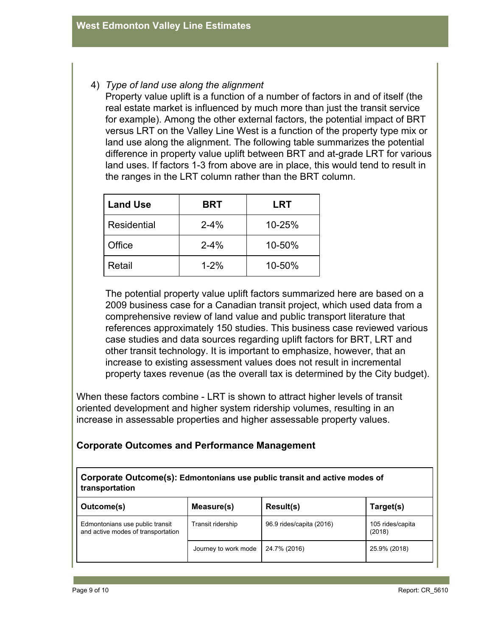### 4) *Type of land use along the alignment*

Property value uplift is a function of a number of factors in and of itself (the real estate market is influenced by much more than just the transit service for example). Among the other external factors, the potential impact of BRT versus LRT on the Valley Line West is a function of the property type mix or land use along the alignment. The following table summarizes the potential difference in property value uplift between BRT and at-grade LRT for various land uses. If factors 1-3 from above are in place, this would tend to result in the ranges in the LRT column rather than the BRT column.

| <b>Land Use</b> | <b>BRT</b> | LRT    |
|-----------------|------------|--------|
| Residential     | $2 - 4%$   | 10-25% |
| Office          | $2 - 4%$   | 10-50% |
| Retail          | $1 - 2%$   | 10-50% |

The potential property value uplift factors summarized here are based on a 2009 business case for a Canadian transit project, which used data from a comprehensive review of land value and public transport literature that references approximately 150 studies. This business case reviewed various case studies and data sources regarding uplift factors for BRT, LRT and other transit technology. It is important to emphasize, however, that an increase to existing assessment values does not result in incremental property taxes revenue (as the overall tax is determined by the City budget).

When these factors combine - LRT is shown to attract higher levels of transit oriented development and higher system ridership volumes, resulting in an increase in assessable properties and higher assessable property values.

#### **Corporate Outcomes and Performance Management**

**Corporate Outcome(s): Edmontonians use public transit and active modes of transportation**

| Outcome(s)                                                            | Measure(s)           | Result(s)                | Target(s)                  |
|-----------------------------------------------------------------------|----------------------|--------------------------|----------------------------|
| Edmontonians use public transit<br>and active modes of transportation | Transit ridership    | 96.9 rides/capita (2016) | 105 rides/capita<br>(2018) |
|                                                                       | Journey to work mode | 24.7% (2016)             | 25.9% (2018)               |